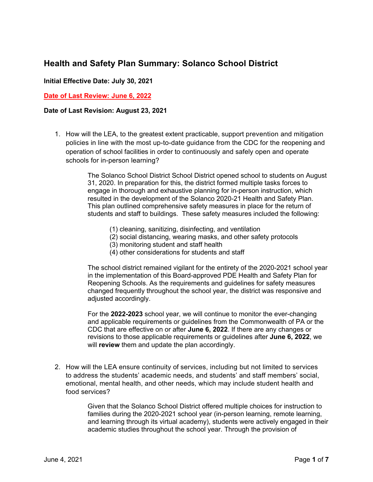## **Health and Safety Plan Summary: Solanco School District**

### **Initial Effective Date: July 30, 2021**

#### **Date of Last Review: June 6, 2022**

#### **Date of Last Revision: August 23, 2021**

1. How will the LEA, to the greatest extent practicable, support prevention and mitigation policies in line with the most up-to-date guidance from the CDC for the reopening and operation of school facilities in order to continuously and safely open and operate schools for in-person learning?

> The Solanco School District School District opened school to students on August 31, 2020. In preparation for this, the district formed multiple tasks forces to engage in thorough and exhaustive planning for in-person instruction, which resulted in the development of the Solanco 2020-21 Health and Safety Plan. This plan outlined comprehensive safety measures in place for the return of students and staff to buildings. These safety measures included the following:

- (1) cleaning, sanitizing, disinfecting, and ventilation
- (2) social distancing, wearing masks, and other safety protocols
- (3) monitoring student and staff health
- (4) other considerations for students and staff

The school district remained vigilant for the entirety of the 2020-2021 school year in the implementation of this Board-approved PDE Health and Safety Plan for Reopening Schools. As the requirements and guidelines for safety measures changed frequently throughout the school year, the district was responsive and adjusted accordingly.

For the **2022-2023** school year, we will continue to monitor the ever-changing and applicable requirements or guidelines from the Commonwealth of PA or the CDC that are effective on or after **June 6, 2022**. If there are any changes or revisions to those applicable requirements or guidelines after **June 6, 2022**, we will **review** them and update the plan accordingly.

2. How will the LEA ensure continuity of services, including but not limited to services to address the students' academic needs, and students' and staff members' social, emotional, mental health, and other needs, which may include student health and food services?

> Given that the Solanco School District offered multiple choices for instruction to families during the 2020-2021 school year (in-person learning, remote learning, and learning through its virtual academy), students were actively engaged in their academic studies throughout the school year. Through the provision of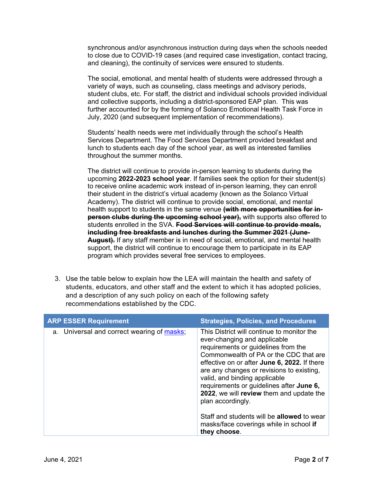synchronous and/or asynchronous instruction during days when the schools needed to close due to COVID-19 cases (and required case investigation, contact tracing, and cleaning), the continuity of services were ensured to students.

The social, emotional, and mental health of students were addressed through a variety of ways, such as counseling, class meetings and advisory periods, student clubs, etc. For staff, the district and individual schools provided individual and collective supports, including a district-sponsored EAP plan. This was further accounted for by the forming of Solanco Emotional Health Task Force in July, 2020 (and subsequent implementation of recommendations).

Students' health needs were met individually through the school's Health Services Department. The Food Services Department provided breakfast and lunch to students each day of the school year, as well as interested families throughout the summer months.

The district will continue to provide in-person learning to students during the upcoming **2022-2023 school year**. If families seek the option for their student(s) to receive online academic work instead of in-person learning, they can enroll their student in the district's virtual academy (known as the Solanco Virtual Academy). The district will continue to provide social, emotional, and mental health support to students in the same venue **(with more opportunities for inperson clubs during the upcoming school year),** with supports also offered to students enrolled in the SVA. **Food Services will continue to provide meals, including free breakfasts and lunches during the Summer 2021 (June-August).** If any staff member is in need of social, emotional, and mental health support, the district will continue to encourage them to participate in its EAP program which provides several free services to employees.

3. Use the table below to explain how the LEA will maintain the health and safety of students, educators, and other staff and the extent to which it has adopted policies, and a description of any such policy on each of the following safety recommendations established by the CDC.

| <b>ARP ESSER Requirement</b>               | <b>Strategies, Policies, and Procedures</b>                                                                                                                                                                                                                                                                                                                                                                                                                                                                            |
|--------------------------------------------|------------------------------------------------------------------------------------------------------------------------------------------------------------------------------------------------------------------------------------------------------------------------------------------------------------------------------------------------------------------------------------------------------------------------------------------------------------------------------------------------------------------------|
| a. Universal and correct wearing of masks; | This District will continue to monitor the<br>ever-changing and applicable<br>requirements or guidelines from the<br>Commonwealth of PA or the CDC that are<br>effective on or after June 6, 2022. If there<br>are any changes or revisions to existing,<br>valid, and binding applicable<br>requirements or guidelines after June 6,<br>2022, we will review them and update the<br>plan accordingly.<br>Staff and students will be <b>allowed</b> to wear<br>masks/face coverings while in school if<br>they choose. |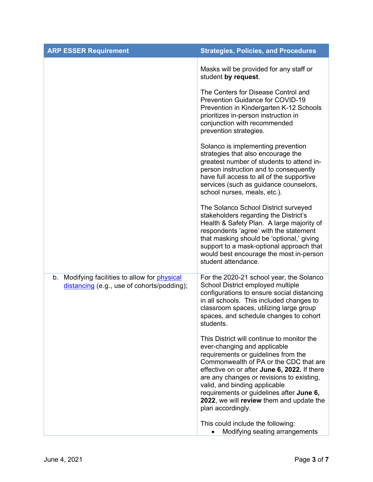| <b>ARP ESSER Requirement</b>                                                                       | <b>Strategies, Policies, and Procedures</b>                                                                                                                                                                                                                                                                                                                                                            |
|----------------------------------------------------------------------------------------------------|--------------------------------------------------------------------------------------------------------------------------------------------------------------------------------------------------------------------------------------------------------------------------------------------------------------------------------------------------------------------------------------------------------|
|                                                                                                    | Masks will be provided for any staff or<br>student by request.                                                                                                                                                                                                                                                                                                                                         |
|                                                                                                    | The Centers for Disease Control and<br><b>Prevention Guidance for COVID-19</b><br>Prevention in Kindergarten K-12 Schools<br>prioritizes in-person instruction in<br>conjunction with recommended<br>prevention strategies.                                                                                                                                                                            |
|                                                                                                    | Solanco is implementing prevention<br>strategies that also encourage the<br>greatest number of students to attend in-<br>person instruction and to consequently<br>have full access to all of the supportive<br>services (such as guidance counselors,<br>school nurses, meals, etc.).                                                                                                                 |
|                                                                                                    | The Solanco School District surveyed<br>stakeholders regarding the District's<br>Health & Safety Plan. A large majority of<br>respondents 'agree' with the statement<br>that masking should be 'optional,' giving<br>support to a mask-optional approach that<br>would best encourage the most in-person<br>student attendance.                                                                        |
| b. Modifying facilities to allow for <i>physical</i><br>distancing (e.g., use of cohorts/podding); | For the 2020-21 school year, the Solanco<br>School District employed multiple<br>configurations to ensure social distancing<br>in all schools. This included changes to<br>classroom spaces, utilizing large group<br>spaces, and schedule changes to cohort<br>students.                                                                                                                              |
|                                                                                                    | This District will continue to monitor the<br>ever-changing and applicable<br>requirements or guidelines from the<br>Commonwealth of PA or the CDC that are<br>effective on or after June 6, 2022. If there<br>are any changes or revisions to existing,<br>valid, and binding applicable<br>requirements or guidelines after June 6,<br>2022, we will review them and update the<br>plan accordingly. |
|                                                                                                    | This could include the following:<br>Modifying seating arrangements                                                                                                                                                                                                                                                                                                                                    |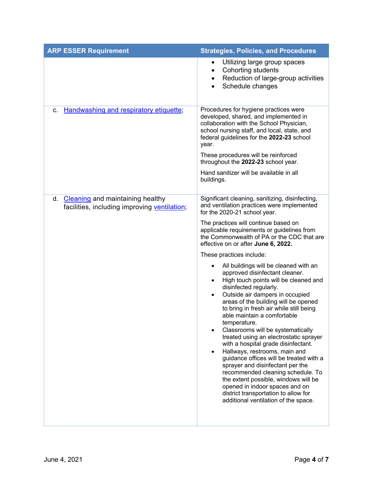| <b>ARP ESSER Requirement</b>                                                        | <b>Strategies, Policies, and Procedures</b>                                                                                                                                                                                                                                                                                                                                                                                                                                                                                                                                                                                                                                                                                                                                                              |
|-------------------------------------------------------------------------------------|----------------------------------------------------------------------------------------------------------------------------------------------------------------------------------------------------------------------------------------------------------------------------------------------------------------------------------------------------------------------------------------------------------------------------------------------------------------------------------------------------------------------------------------------------------------------------------------------------------------------------------------------------------------------------------------------------------------------------------------------------------------------------------------------------------|
|                                                                                     | Utilizing large group spaces<br>$\bullet$<br>Cohorting students<br>$\bullet$<br>Reduction of large-group activities<br>٠<br>Schedule changes<br>$\bullet$                                                                                                                                                                                                                                                                                                                                                                                                                                                                                                                                                                                                                                                |
| Handwashing and respiratory etiquette;<br>c.                                        | Procedures for hygiene practices were<br>developed, shared, and implemented in<br>collaboration with the School Physician,<br>school nursing staff, and local, state, and<br>federal guidelines for the 2022-23 school<br>year.                                                                                                                                                                                                                                                                                                                                                                                                                                                                                                                                                                          |
|                                                                                     | These procedures will be reinforced<br>throughout the 2022-23 school year.                                                                                                                                                                                                                                                                                                                                                                                                                                                                                                                                                                                                                                                                                                                               |
|                                                                                     | Hand sanitizer will be available in all<br>buildings.                                                                                                                                                                                                                                                                                                                                                                                                                                                                                                                                                                                                                                                                                                                                                    |
| d. Cleaning and maintaining healthy<br>facilities, including improving ventilation; | Significant cleaning, sanitizing, disinfecting,<br>and ventilation practices were implemented<br>for the 2020-21 school year.                                                                                                                                                                                                                                                                                                                                                                                                                                                                                                                                                                                                                                                                            |
|                                                                                     | The practices will continue based on<br>applicable requirements or guidelines from<br>the Commonwealth of PA or the CDC that are<br>effective on or after June 6, 2022.                                                                                                                                                                                                                                                                                                                                                                                                                                                                                                                                                                                                                                  |
|                                                                                     | These practices include:                                                                                                                                                                                                                                                                                                                                                                                                                                                                                                                                                                                                                                                                                                                                                                                 |
|                                                                                     | All buildings will be cleaned with an<br>$\bullet$<br>approved disinfectant cleaner.<br>High touch points will be cleaned and<br>$\bullet$<br>disinfected regularly.<br>Outside air dampers in occupied<br>$\bullet$<br>areas of the building will be opened<br>to bring in fresh air while still being<br>able maintain a comfortable<br>temperature.<br>Classrooms will be systematically<br>treated using an electrostatic sprayer<br>with a hospital grade disinfectant.<br>Hallways, restrooms, main and<br>$\bullet$<br>guidance offices will be treated with a<br>sprayer and disinfectant per the<br>recommended cleaning schedule. To<br>the extent possible, windows will be<br>opened in indoor spaces and on<br>district transportation to allow for<br>additional ventilation of the space. |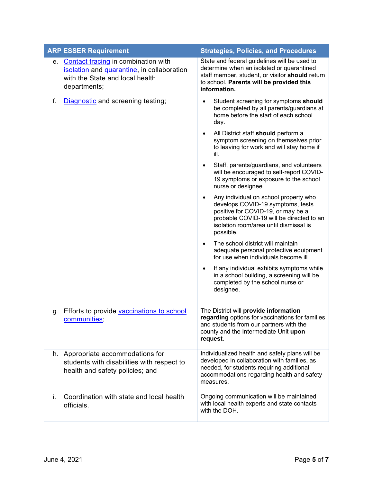|    | <b>ARP ESSER Requirement</b>                                                                                                         | <b>Strategies, Policies, and Procedures</b>                                                                                                                                                                                                                                                                                                                                                                                                                                                                                                                                                                                                                                                                                                                                                                                                                                                                                                                                          |
|----|--------------------------------------------------------------------------------------------------------------------------------------|--------------------------------------------------------------------------------------------------------------------------------------------------------------------------------------------------------------------------------------------------------------------------------------------------------------------------------------------------------------------------------------------------------------------------------------------------------------------------------------------------------------------------------------------------------------------------------------------------------------------------------------------------------------------------------------------------------------------------------------------------------------------------------------------------------------------------------------------------------------------------------------------------------------------------------------------------------------------------------------|
| е. | Contact tracing in combination with<br>isolation and quarantine, in collaboration<br>with the State and local health<br>departments; | State and federal guidelines will be used to<br>determine when an isolated or quarantined<br>staff member, student, or visitor should return<br>to school. Parents will be provided this<br>information.                                                                                                                                                                                                                                                                                                                                                                                                                                                                                                                                                                                                                                                                                                                                                                             |
| f. | Diagnostic and screening testing;                                                                                                    | Student screening for symptoms should<br>$\bullet$<br>be completed by all parents/guardians at<br>home before the start of each school<br>day.<br>All District staff should perform a<br>٠<br>symptom screening on themselves prior<br>to leaving for work and will stay home if<br>ill.<br>Staff, parents/guardians, and volunteers<br>$\bullet$<br>will be encouraged to self-report COVID-<br>19 symptoms or exposure to the school<br>nurse or designee.<br>Any individual on school property who<br>٠<br>develops COVID-19 symptoms, tests<br>positive for COVID-19, or may be a<br>probable COVID-19 will be directed to an<br>isolation room/area until dismissal is<br>possible.<br>The school district will maintain<br>$\bullet$<br>adequate personal protective equipment<br>for use when individuals become ill.<br>If any individual exhibits symptoms while<br>$\bullet$<br>in a school building, a screening will be<br>completed by the school nurse or<br>designee. |
|    | Efforts to provide vaccinations to school                                                                                            | The District will provide information                                                                                                                                                                                                                                                                                                                                                                                                                                                                                                                                                                                                                                                                                                                                                                                                                                                                                                                                                |
| g. | <u>communities;</u>                                                                                                                  | regarding options for vaccinations for families<br>and students from our partners with the<br>county and the Intermediate Unit upon<br>request.                                                                                                                                                                                                                                                                                                                                                                                                                                                                                                                                                                                                                                                                                                                                                                                                                                      |
|    | h. Appropriate accommodations for<br>students with disabilities with respect to<br>health and safety policies; and                   | Individualized health and safety plans will be<br>developed in collaboration with families, as<br>needed, for students requiring additional<br>accommodations regarding health and safety<br>measures.                                                                                                                                                                                                                                                                                                                                                                                                                                                                                                                                                                                                                                                                                                                                                                               |
| i. | Coordination with state and local health<br>officials.                                                                               | Ongoing communication will be maintained<br>with local health experts and state contacts<br>with the DOH.                                                                                                                                                                                                                                                                                                                                                                                                                                                                                                                                                                                                                                                                                                                                                                                                                                                                            |